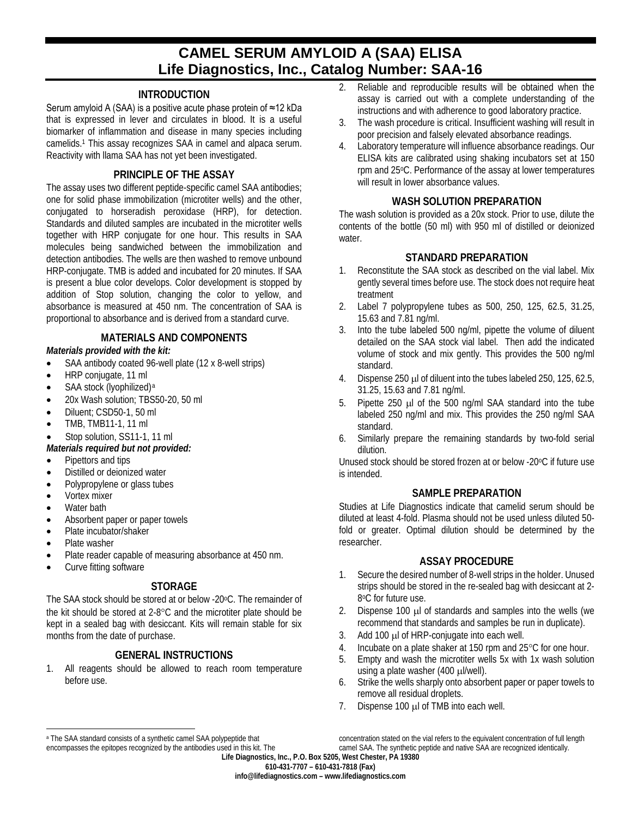# **CAMEL SERUM AMYLOID A (SAA) ELISA Life Diagnostics, Inc., Catalog Number: SAA-16**

#### **INTRODUCTION**

Serum amyloid A (SAA) is a positive acute phase protein of ≈12 kDa that is expressed in lever and circulates in blood. It is a useful biomarker of inflammation and disease in many species including camelids.1 This assay recognizes SAA in camel and alpaca serum. Reactivity with llama SAA has not yet been investigated.

#### **PRINCIPLE OF THE ASSAY**

The assay uses two different peptide-specific camel SAA antibodies; one for solid phase immobilization (microtiter wells) and the other, conjugated to horseradish peroxidase (HRP), for detection. Standards and diluted samples are incubated in the microtiter wells together with HRP conjugate for one hour. This results in SAA molecules being sandwiched between the immobilization and detection antibodies. The wells are then washed to remove unbound HRP-conjugate. TMB is added and incubated for 20 minutes. If SAA is present a blue color develops. Color development is stopped by addition of Stop solution, changing the color to yellow, and absorbance is measured at 450 nm. The concentration of SAA is proportional to absorbance and is derived from a standard curve.

#### **MATERIALS AND COMPONENTS**

#### *Materials provided with the kit:*

- SAA antibody coated 96-well plate (12 x 8-well strips)
- HRP conjugate, 11 ml
- SAA stock (lyophilized)<sup>[a](#page-0-0)</sup>
- 20x Wash solution; TBS50-20, 50 ml
- Diluent: CSD50-1, 50 ml
- TMB, TMB11-1, 11 ml
- Stop solution, SS11-1, 11 ml

## *Materials required but not provided:*

- Pipettors and tips
- Distilled or deionized water
- Polypropylene or glass tubes
- Vortex mixer
- Water bath
- Absorbent paper or paper towels
- Plate incubator/shaker
- Plate washer
- Plate reader capable of measuring absorbance at 450 nm.
- Curve fitting software

#### **STORAGE**

The SAA stock should be stored at or below -20°C. The remainder of the kit should be stored at 2-8°C and the microtiter plate should be kept in a sealed bag with desiccant. Kits will remain stable for six months from the date of purchase.

# **GENERAL INSTRUCTIONS**

1. All reagents should be allowed to reach room temperature before use.

- 2. Reliable and reproducible results will be obtained when the assay is carried out with a complete understanding of the instructions and with adherence to good laboratory practice.
- 3. The wash procedure is critical. Insufficient washing will result in poor precision and falsely elevated absorbance readings.
- 4. Laboratory temperature will influence absorbance readings. Our ELISA kits are calibrated using shaking incubators set at 150 rpm and 25oC. Performance of the assay at lower temperatures will result in lower absorbance values.

#### **WASH SOLUTION PREPARATION**

The wash solution is provided as a 20x stock. Prior to use, dilute the contents of the bottle (50 ml) with 950 ml of distilled or deionized water.

#### **STANDARD PREPARATION**

- 1. Reconstitute the SAA stock as described on the vial label. Mix gently several times before use. The stock does not require heat treatment
- 2. Label 7 polypropylene tubes as 500, 250, 125, 62.5, 31.25, 15.63 and 7.81 ng/ml.
- 3. Into the tube labeled 500 ng/ml, pipette the volume of diluent detailed on the SAA stock vial label. Then add the indicated volume of stock and mix gently. This provides the 500 ng/ml standard.
- 4. Dispense 250 µl of diluent into the tubes labeled 250, 125, 62.5, 31.25, 15.63 and 7.81 ng/ml.
- 5. Pipette 250 µl of the 500 ng/ml SAA standard into the tube labeled 250 ng/ml and mix. This provides the 250 ng/ml SAA standard.
- 6. Similarly prepare the remaining standards by two-fold serial dilution.

Unused stock should be stored frozen at or below -20°C if future use is intended.

#### **SAMPLE PREPARATION**

Studies at Life Diagnostics indicate that camelid serum should be diluted at least 4-fold. Plasma should not be used unless diluted 50 fold or greater. Optimal dilution should be determined by the researcher.

## **ASSAY PROCEDURE**

- 1. Secure the desired number of 8-well strips in the holder. Unused strips should be stored in the re-sealed bag with desiccant at 2- 8°C for future use.
- 2. Dispense 100 µ of standards and samples into the wells (we recommend that standards and samples be run in duplicate).
- 3. Add 100 µl of HRP-conjugate into each well.
- 4. Incubate on a plate shaker at 150 rpm and 25°C for one hour.
- 5. Empty and wash the microtiter wells 5x with 1x wash solution using a plate washer (400 µl/well).
- 6. Strike the wells sharply onto absorbent paper or paper towels to remove all residual droplets.
- 7. Dispense 100 µl of TMB into each well.

<span id="page-0-0"></span> $\overline{a}$ a The SAA standard consists of a synthetic camel SAA polypeptide that encompasses the epitopes recognized by the antibodies used in this kit. The

**Life Diagnostics, Inc., P.O. Box 5205, West Chester, PA 19380** concentration stated on the vial refers to the equivalent concentration of full length camel SAA. The synthetic peptide and native SAA are recognized identically.

**610-431-7707 – 610-431-7818 (Fax)**